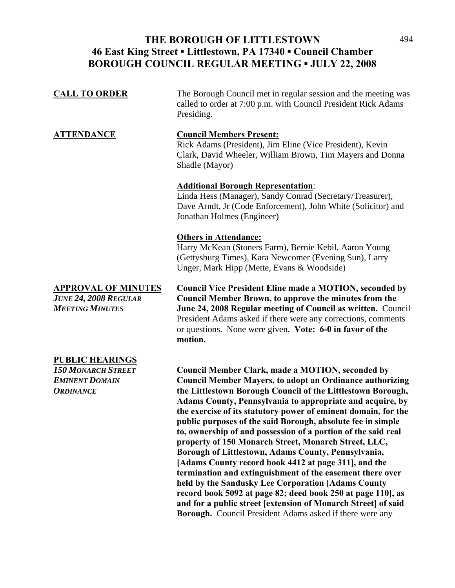## THE BOROUGH OF LITTLESTOWN 494 **46 East King Street ▪ Littlestown, PA 17340 ▪ Council Chamber BOROUGH COUNCIL REGULAR MEETING ▪ JULY 22, 2008**

| <b>CALL TO ORDER</b>                                                                 | The Borough Council met in regular session and the meeting was<br>called to order at 7:00 p.m. with Council President Rick Adams<br>Presiding.                                                                                                                                                                                                                                                                                                                                                                                                                                                                                                                                                                                                     |
|--------------------------------------------------------------------------------------|----------------------------------------------------------------------------------------------------------------------------------------------------------------------------------------------------------------------------------------------------------------------------------------------------------------------------------------------------------------------------------------------------------------------------------------------------------------------------------------------------------------------------------------------------------------------------------------------------------------------------------------------------------------------------------------------------------------------------------------------------|
| <u>ATTENDANCE</u>                                                                    | <b>Council Members Present:</b><br>Rick Adams (President), Jim Eline (Vice President), Kevin<br>Clark, David Wheeler, William Brown, Tim Mayers and Donna<br>Shadle (Mayor)                                                                                                                                                                                                                                                                                                                                                                                                                                                                                                                                                                        |
|                                                                                      | <b>Additional Borough Representation:</b><br>Linda Hess (Manager), Sandy Conrad (Secretary/Treasurer),<br>Dave Arndt, Jr (Code Enforcement), John White (Solicitor) and<br>Jonathan Holmes (Engineer)                                                                                                                                                                                                                                                                                                                                                                                                                                                                                                                                              |
|                                                                                      | <b>Others in Attendance:</b><br>Harry McKean (Stoners Farm), Bernie Kebil, Aaron Young<br>(Gettysburg Times), Kara Newcomer (Evening Sun), Larry<br>Unger, Mark Hipp (Mette, Evans & Woodside)                                                                                                                                                                                                                                                                                                                                                                                                                                                                                                                                                     |
| <b>APPROVAL OF MINUTES</b><br><b>JUNE 24, 2008 REGULAR</b><br><b>MEETING MINUTES</b> | <b>Council Vice President Eline made a MOTION, seconded by</b><br><b>Council Member Brown, to approve the minutes from the</b><br>June 24, 2008 Regular meeting of Council as written. Council<br>President Adams asked if there were any corrections, comments<br>or questions. None were given. Vote: 6-0 in favor of the<br>motion.                                                                                                                                                                                                                                                                                                                                                                                                             |
| <b>PUBLIC HEARINGS</b><br>150 Monarch Street<br><b>EMINENT DOMAIN</b><br>ORDINANCE   | <b>Council Member Clark, made a MOTION, seconded by</b><br><b>Council Member Mayers, to adopt an Ordinance authorizing</b><br>the Littlestown Borough Council of the Littlestown Borough,<br>Adams County, Pennsylvania to appropriate and acquire, by<br>the exercise of its statutory power of eminent domain, for the<br>public purposes of the said Borough, absolute fee in simple<br>to, ownership of and possession of a portion of the said real<br>property of 150 Monarch Street, Monarch Street, LLC,<br>Borough of Littlestown, Adams County, Pennsylvania,<br>[Adams County record book 4412 at page 311], and the<br>termination and extinguishment of the easement there over<br>held by the Sandusky Lee Corporation [Adams County |

**record book 5092 at page 82; deed book 250 at page 110], as and for a public street [extension of Monarch Street] of said Borough.** Council President Adams asked if there were any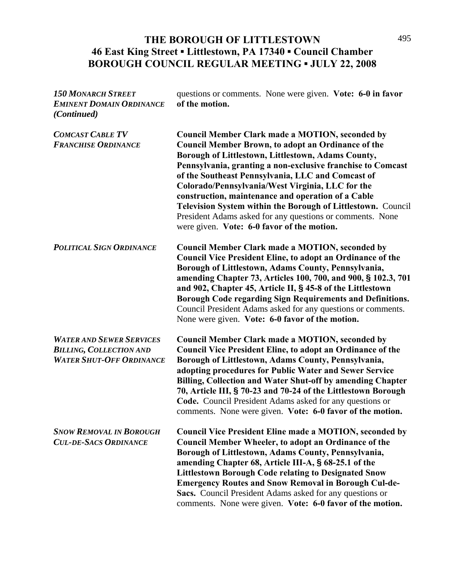### THE BOROUGH OF LITTLESTOWN 495 **46 East King Street ▪ Littlestown, PA 17340 ▪ Council Chamber BOROUGH COUNCIL REGULAR MEETING ▪ JULY 22, 2008**

| <b>150 MONARCH STREET</b><br><b>EMINENT DOMAIN ORDINANCE</b><br>(Continued)                          | questions or comments. None were given. Vote: 6-0 in favor<br>of the motion.                                                                                                                                                                                                                                                                                                                                                                                                                                                                                                       |
|------------------------------------------------------------------------------------------------------|------------------------------------------------------------------------------------------------------------------------------------------------------------------------------------------------------------------------------------------------------------------------------------------------------------------------------------------------------------------------------------------------------------------------------------------------------------------------------------------------------------------------------------------------------------------------------------|
| <b>COMCAST CABLE TV</b><br><b>FRANCHISE ORDINANCE</b>                                                | <b>Council Member Clark made a MOTION, seconded by</b><br><b>Council Member Brown, to adopt an Ordinance of the</b><br>Borough of Littlestown, Littlestown, Adams County,<br>Pennsylvania, granting a non-exclusive franchise to Comcast<br>of the Southeast Pennsylvania, LLC and Comcast of<br>Colorado/Pennsylvania/West Virginia, LLC for the<br>construction, maintenance and operation of a Cable<br>Television System within the Borough of Littlestown. Council<br>President Adams asked for any questions or comments. None<br>were given. Vote: 6-0 favor of the motion. |
| <b>POLITICAL SIGN ORDINANCE</b>                                                                      | <b>Council Member Clark made a MOTION, seconded by</b><br><b>Council Vice President Eline, to adopt an Ordinance of the</b><br>Borough of Littlestown, Adams County, Pennsylvania,<br>amending Chapter 73, Articles 100, 700, and 900, § 102.3, 701<br>and 902, Chapter 45, Article II, §45-8 of the Littlestown<br>Borough Code regarding Sign Requirements and Definitions.<br>Council President Adams asked for any questions or comments.<br>None were given. Vote: 6-0 favor of the motion.                                                                                   |
| <b>WATER AND SEWER SERVICES</b><br><b>BILLING, COLLECTION AND</b><br><b>WATER SHUT-OFF ORDINANCE</b> | <b>Council Member Clark made a MOTION, seconded by</b><br><b>Council Vice President Eline, to adopt an Ordinance of the</b><br>Borough of Littlestown, Adams County, Pennsylvania,<br>adopting procedures for Public Water and Sewer Service<br>Billing, Collection and Water Shut-off by amending Chapter<br>70, Article III, § 70-23 and 70-24 of the Littlestown Borough<br><b>Code.</b> Council President Adams asked for any questions or<br>comments. None were given. Vote: 6-0 favor of the motion.                                                                        |
| <b>SNOW REMOVAL IN BOROUGH</b><br><b>CUL-DE-SACS ORDINANCE</b>                                       | <b>Council Vice President Eline made a MOTION, seconded by</b><br>Council Member Wheeler, to adopt an Ordinance of the<br>Borough of Littlestown, Adams County, Pennsylvania,<br>amending Chapter 68, Article III-A, § 68-25.1 of the<br><b>Littlestown Borough Code relating to Designated Snow</b><br><b>Emergency Routes and Snow Removal in Borough Cul-de-</b><br>Sacs. Council President Adams asked for any questions or<br>comments. None were given. Vote: 6-0 favor of the motion.                                                                                       |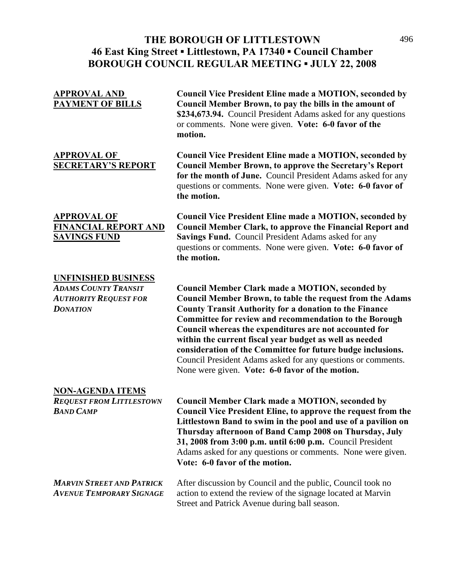# THE BOROUGH OF LITTLESTOWN 496 **46 East King Street ▪ Littlestown, PA 17340 ▪ Council Chamber BOROUGH COUNCIL REGULAR MEETING ▪ JULY 22, 2008**

| <b>APPROVAL AND</b><br><b>PAYMENT OF BILLS</b>                                                               | <b>Council Vice President Eline made a MOTION, seconded by</b><br>Council Member Brown, to pay the bills in the amount of<br>\$234,673.94. Council President Adams asked for any questions<br>or comments. None were given. Vote: 6-0 favor of the<br>motion.                                                                                                                                                                                                                                                                                                |
|--------------------------------------------------------------------------------------------------------------|--------------------------------------------------------------------------------------------------------------------------------------------------------------------------------------------------------------------------------------------------------------------------------------------------------------------------------------------------------------------------------------------------------------------------------------------------------------------------------------------------------------------------------------------------------------|
| <b>APPROVAL OF</b><br><b>SECRETARY'S REPORT</b>                                                              | <b>Council Vice President Eline made a MOTION, seconded by</b><br><b>Council Member Brown, to approve the Secretary's Report</b><br>for the month of June. Council President Adams asked for any<br>questions or comments. None were given. Vote: 6-0 favor of<br>the motion.                                                                                                                                                                                                                                                                                |
| <b>APPROVAL OF</b><br><b>FINANCIAL REPORT AND</b><br><b>SAVINGS FUND</b>                                     | <b>Council Vice President Eline made a MOTION, seconded by</b><br><b>Council Member Clark, to approve the Financial Report and</b><br>Savings Fund. Council President Adams asked for any<br>questions or comments. None were given. Vote: 6-0 favor of<br>the motion.                                                                                                                                                                                                                                                                                       |
| <b>UNFINISHED BUSINESS</b><br><b>ADAMS COUNTY TRANSIT</b><br><b>AUTHORITY REQUEST FOR</b><br><b>DONATION</b> | <b>Council Member Clark made a MOTION, seconded by</b><br><b>Council Member Brown, to table the request from the Adams</b><br><b>County Transit Authority for a donation to the Finance</b><br>Committee for review and recommendation to the Borough<br>Council whereas the expenditures are not accounted for<br>within the current fiscal year budget as well as needed<br>consideration of the Committee for future budge inclusions.<br>Council President Adams asked for any questions or comments.<br>None were given. Vote: 6-0 favor of the motion. |
| <b>NON-AGENDA ITEMS</b><br><b>REQUEST FROM LITTLESTOWN</b><br><b>BAND CAMP</b>                               | <b>Council Member Clark made a MOTION, seconded by</b><br><b>Council Vice President Eline, to approve the request from the</b><br>Littlestown Band to swim in the pool and use of a pavilion on<br>Thursday afternoon of Band Camp 2008 on Thursday, July<br>31, 2008 from 3:00 p.m. until 6:00 p.m. Council President<br>Adams asked for any questions or comments. None were given.<br>Vote: 6-0 favor of the motion.                                                                                                                                      |
| <b>MARVIN STREET AND PATRICK</b><br><b>AVENUE TEMPORARY SIGNAGE</b>                                          | After discussion by Council and the public, Council took no<br>action to extend the review of the signage located at Marvin<br>Street and Patrick Avenue during ball season.                                                                                                                                                                                                                                                                                                                                                                                 |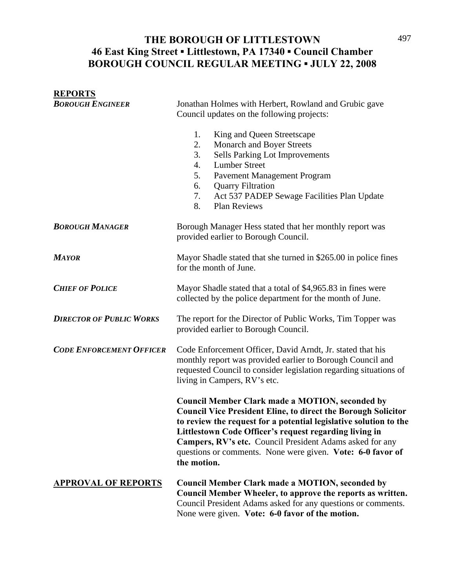# **THE BOROUGH OF LITTLESTOWN** 497 **46 East King Street ▪ Littlestown, PA 17340 ▪ Council Chamber BOROUGH COUNCIL REGULAR MEETING ▪ JULY 22, 2008**

| <b>REPORTS</b>                  |                                                                                                                                                                                                                                                                                                                                                                                                        |
|---------------------------------|--------------------------------------------------------------------------------------------------------------------------------------------------------------------------------------------------------------------------------------------------------------------------------------------------------------------------------------------------------------------------------------------------------|
| <b>BOROUGH ENGINEER</b>         | Jonathan Holmes with Herbert, Rowland and Grubic gave<br>Council updates on the following projects:                                                                                                                                                                                                                                                                                                    |
|                                 | King and Queen Streetscape<br>1.<br>2.<br>Monarch and Boyer Streets<br>3.<br><b>Sells Parking Lot Improvements</b><br><b>Lumber Street</b><br>4.<br>5.<br>Pavement Management Program<br>6.<br><b>Quarry Filtration</b><br>Act 537 PADEP Sewage Facilities Plan Update<br>7.<br>8.<br><b>Plan Reviews</b>                                                                                              |
| <b>BOROUGH MANAGER</b>          | Borough Manager Hess stated that her monthly report was<br>provided earlier to Borough Council.                                                                                                                                                                                                                                                                                                        |
| <b>MAYOR</b>                    | Mayor Shadle stated that she turned in \$265.00 in police fines<br>for the month of June.                                                                                                                                                                                                                                                                                                              |
| <b>CHIEF OF POLICE</b>          | Mayor Shadle stated that a total of \$4,965.83 in fines were<br>collected by the police department for the month of June.                                                                                                                                                                                                                                                                              |
| <b>DIRECTOR OF PUBLIC WORKS</b> | The report for the Director of Public Works, Tim Topper was<br>provided earlier to Borough Council.                                                                                                                                                                                                                                                                                                    |
| <b>CODE ENFORCEMENT OFFICER</b> | Code Enforcement Officer, David Arndt, Jr. stated that his<br>monthly report was provided earlier to Borough Council and<br>requested Council to consider legislation regarding situations of<br>living in Campers, RV's etc.                                                                                                                                                                          |
|                                 | <b>Council Member Clark made a MOTION, seconded by</b><br><b>Council Vice President Eline, to direct the Borough Solicitor</b><br>to review the request for a potential legislative solution to the<br>Littlestown Code Officer's request regarding living in<br>Campers, RV's etc. Council President Adams asked for any<br>questions or comments. None were given. Vote: 6-0 favor of<br>the motion. |
| <b>APPROVAL OF REPORTS</b>      | <b>Council Member Clark made a MOTION, seconded by</b><br>Council Member Wheeler, to approve the reports as written.<br>Council President Adams asked for any questions or comments.<br>None were given. Vote: 6-0 favor of the motion.                                                                                                                                                                |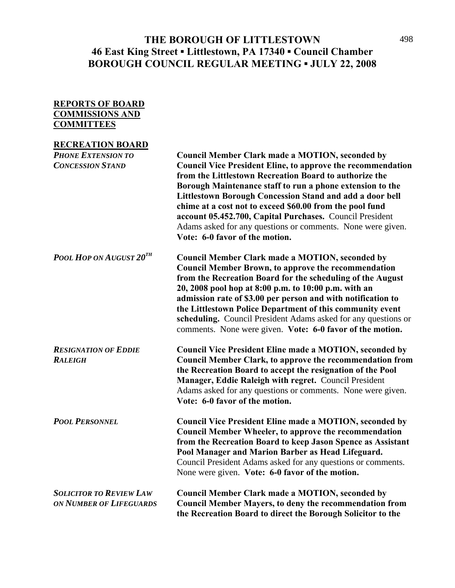### THE BOROUGH OF LITTLESTOWN 498 **46 East King Street ▪ Littlestown, PA 17340 ▪ Council Chamber BOROUGH COUNCIL REGULAR MEETING ▪ JULY 22, 2008**

#### **REPORTS OF BOARD COMMISSIONS AND COMMITTEES**

### **RECREATION BOARD** *PHONE EXTENSION TO* **Council Member Clark made a MOTION, seconded by**  *CONCESSION STAND* **Council Vice President Eline, to approve the recommendation from the Littlestown Recreation Board to authorize the Borough Maintenance staff to run a phone extension to the Littlestown Borough Concession Stand and add a door bell chime at a cost not to exceed \$60.00 from the pool fund account 05.452.700, Capital Purchases.** Council President Adams asked for any questions or comments. None were given. **Vote: 6-0 favor of the motion.**  *POOL HOP ON AUGUST 20<sup>TH</sup>* Council Member Clark made a MOTION, seconded by  **Council Member Brown, to approve the recommendation from the Recreation Board for the scheduling of the August 20, 2008 pool hop at 8:00 p.m. to 10:00 p.m. with an admission rate of \$3.00 per person and with notification to the Littlestown Police Department of this community event scheduling.** Council President Adams asked for any questions or comments. None were given. **Vote: 6-0 favor of the motion.**  *RESIGNATION OF EDDIE* **Council Vice President Eline made a MOTION, seconded by**  *RALEIGH* **Council Member Clark, to approve the recommendation from the Recreation Board to accept the resignation of the Pool Manager, Eddie Raleigh with regret.** Council President Adams asked for any questions or comments. None were given. **Vote: 6-0 favor of the motion.**  *POOL PERSONNEL* **Council Vice President Eline made a MOTION, seconded by Council Member Wheeler, to approve the recommendation from the Recreation Board to keep Jason Spence as Assistant Pool Manager and Marion Barber as Head Lifeguard.**  Council President Adams asked for any questions or comments. None were given. **Vote: 6-0 favor of the motion.**  *SOLICITOR TO REVIEW LAW* **Council Member Clark made a MOTION, seconded by**  *ON NUMBER OF LIFEGUARDS* **Council Member Mayers, to deny the recommendation from the Recreation Board to direct the Borough Solicitor to the**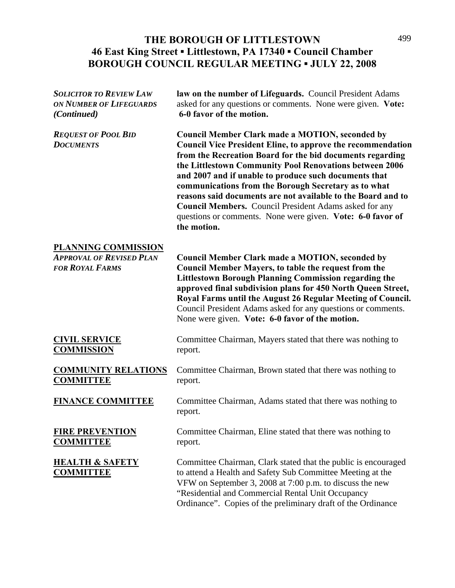## THE BOROUGH OF LITTLESTOWN 499 **46 East King Street ▪ Littlestown, PA 17340 ▪ Council Chamber BOROUGH COUNCIL REGULAR MEETING ▪ JULY 22, 2008**

| <b>SOLICITOR TO REVIEW LAW</b>                                                          | law on the number of Lifeguards. Council President Adams                                                                                                                                                                                                                                                                                                                                                                                                                                                                                                                            |
|-----------------------------------------------------------------------------------------|-------------------------------------------------------------------------------------------------------------------------------------------------------------------------------------------------------------------------------------------------------------------------------------------------------------------------------------------------------------------------------------------------------------------------------------------------------------------------------------------------------------------------------------------------------------------------------------|
| ON NUMBER OF LIFEGUARDS                                                                 | asked for any questions or comments. None were given. Vote:                                                                                                                                                                                                                                                                                                                                                                                                                                                                                                                         |
| (Continued)                                                                             | 6-0 favor of the motion.                                                                                                                                                                                                                                                                                                                                                                                                                                                                                                                                                            |
| <b>REQUEST OF POOL BID</b><br><b>DOCUMENTS</b>                                          | <b>Council Member Clark made a MOTION, seconded by</b><br><b>Council Vice President Eline, to approve the recommendation</b><br>from the Recreation Board for the bid documents regarding<br>the Littlestown Community Pool Renovations between 2006<br>and 2007 and if unable to produce such documents that<br>communications from the Borough Secretary as to what<br>reasons said documents are not available to the Board and to<br><b>Council Members.</b> Council President Adams asked for any<br>questions or comments. None were given. Vote: 6-0 favor of<br>the motion. |
| <b>PLANNING COMMISSION</b><br><b>APPROVAL OF REVISED PLAN</b><br><b>FOR ROYAL FARMS</b> | <b>Council Member Clark made a MOTION, seconded by</b><br><b>Council Member Mayers, to table the request from the</b><br><b>Littlestown Borough Planning Commission regarding the</b><br>approved final subdivision plans for 450 North Queen Street,<br>Royal Farms until the August 26 Regular Meeting of Council.<br>Council President Adams asked for any questions or comments.<br>None were given. Vote: 6-0 favor of the motion.                                                                                                                                             |
| <b>CIVIL SERVICE</b>                                                                    | Committee Chairman, Mayers stated that there was nothing to                                                                                                                                                                                                                                                                                                                                                                                                                                                                                                                         |
| <b>COMMISSION</b>                                                                       | report.                                                                                                                                                                                                                                                                                                                                                                                                                                                                                                                                                                             |
| <b>COMMUNITY RELATIONS</b>                                                              | Committee Chairman, Brown stated that there was nothing to                                                                                                                                                                                                                                                                                                                                                                                                                                                                                                                          |
| <b>COMMITTEE</b>                                                                        | report.                                                                                                                                                                                                                                                                                                                                                                                                                                                                                                                                                                             |
| <b>FINANCE COMMITTEE</b>                                                                | Committee Chairman, Adams stated that there was nothing to<br>report.                                                                                                                                                                                                                                                                                                                                                                                                                                                                                                               |
| <b>FIRE PREVENTION</b>                                                                  | Committee Chairman, Eline stated that there was nothing to                                                                                                                                                                                                                                                                                                                                                                                                                                                                                                                          |
| <b>COMMITTEE</b>                                                                        | report.                                                                                                                                                                                                                                                                                                                                                                                                                                                                                                                                                                             |
| <b>HEALTH &amp; SAFETY</b><br><b>COMMITTEE</b>                                          | Committee Chairman, Clark stated that the public is encouraged<br>to attend a Health and Safety Sub Committee Meeting at the<br>VFW on September 3, 2008 at 7:00 p.m. to discuss the new<br>"Residential and Commercial Rental Unit Occupancy<br>Ordinance". Copies of the preliminary draft of the Ordinance                                                                                                                                                                                                                                                                       |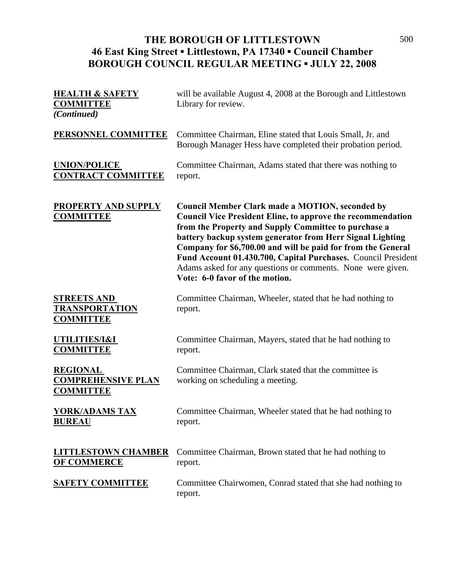## THE BOROUGH OF LITTLESTOWN 500 **46 East King Street ▪ Littlestown, PA 17340 ▪ Council Chamber BOROUGH COUNCIL REGULAR MEETING ▪ JULY 22, 2008**

| <b>HEALTH &amp; SAFETY</b><br><b>COMMITTEE</b><br>(Continued)    | will be available August 4, 2008 at the Borough and Littlestown<br>Library for review.                                                                                                                                                                                                                                                                                                                                                                                              |
|------------------------------------------------------------------|-------------------------------------------------------------------------------------------------------------------------------------------------------------------------------------------------------------------------------------------------------------------------------------------------------------------------------------------------------------------------------------------------------------------------------------------------------------------------------------|
| PERSONNEL COMMITTEE                                              | Committee Chairman, Eline stated that Louis Small, Jr. and<br>Borough Manager Hess have completed their probation period.                                                                                                                                                                                                                                                                                                                                                           |
| <b>UNION/POLICE</b><br><b>CONTRACT COMMITTEE</b>                 | Committee Chairman, Adams stated that there was nothing to<br>report.                                                                                                                                                                                                                                                                                                                                                                                                               |
| <b>PROPERTY AND SUPPLY</b><br><b>COMMITTEE</b>                   | <b>Council Member Clark made a MOTION, seconded by</b><br><b>Council Vice President Eline, to approve the recommendation</b><br>from the Property and Supply Committee to purchase a<br>battery backup system generator from Herr Signal Lighting<br>Company for \$6,700.00 and will be paid for from the General<br>Fund Account 01.430.700, Capital Purchases. Council President<br>Adams asked for any questions or comments. None were given.<br>Vote: 6-0 favor of the motion. |
| <b>STREETS AND</b><br><b>TRANSPORTATION</b><br><b>COMMITTEE</b>  | Committee Chairman, Wheeler, stated that he had nothing to<br>report.                                                                                                                                                                                                                                                                                                                                                                                                               |
| UTILITIES/I&I<br><b>COMMITTEE</b>                                | Committee Chairman, Mayers, stated that he had nothing to<br>report.                                                                                                                                                                                                                                                                                                                                                                                                                |
| <b>REGIONAL</b><br><b>COMPREHENSIVE PLAN</b><br><b>COMMITTEE</b> | Committee Chairman, Clark stated that the committee is<br>working on scheduling a meeting.                                                                                                                                                                                                                                                                                                                                                                                          |
| <b>YORK/ADAMS TAX</b><br><b>BUREAU</b>                           | Committee Chairman, Wheeler stated that he had nothing to<br>report.                                                                                                                                                                                                                                                                                                                                                                                                                |
| <b>LITTLESTOWN CHAMBER</b><br><b>OF COMMERCE</b>                 | Committee Chairman, Brown stated that he had nothing to<br>report.                                                                                                                                                                                                                                                                                                                                                                                                                  |
| <b>SAFETY COMMITTEE</b>                                          | Committee Chairwomen, Conrad stated that she had nothing to<br>report.                                                                                                                                                                                                                                                                                                                                                                                                              |